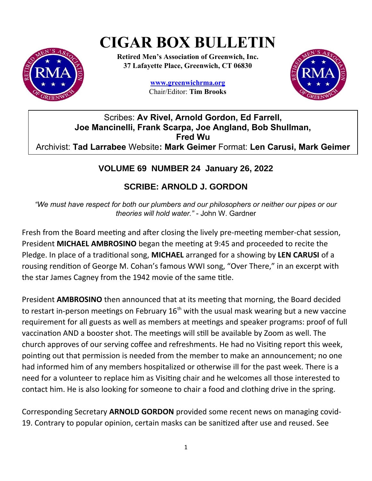# **CIGAR BOX BULLETIN**



**Retired Men's Association of Greenwich, Inc. 37 Lafayette Place, Greenwich, CT 06830**

> **www.greenwichrma.org** Chair/Editor: **Tim Brooks**



Scribes: **Av Rivel, Arnold Gordon, Ed Farrell, Joe Mancinelli, Frank Scarpa, Joe Angland, Bob Shullman, Fred Wu** Archivist: **Tad Larrabee** Website**: Mark Geimer** Format: **Len Carusi, Mark Geimer**

# **VOLUME 69 NUMBER 24 January 26, 2022**

# **SCRIBE: ARNOLD J. GORDON**

*"We must have respect for both our plumbers and our philosophers or neither our pipes or our theories will hold water."* - John W. Gardner

Fresh from the Board meeting and after closing the lively pre-meeting member-chat session, President **MICHAEL AMBROSINO** began the meeting at 9:45 and proceeded to recite the Pledge. In place of a traditional song, **MICHAEL** arranged for a showing by **LEN CARUSI** of a rousing rendition of George M. Cohan's famous WWI song, "Over There," in an excerpt with the star James Cagney from the 1942 movie of the same title.

President **AMBROSINO** then announced that at its meeting that morning, the Board decided to restart in-person meetings on February  $16<sup>th</sup>$  with the usual mask wearing but a new vaccine requirement for all guests as well as members at meetings and speaker programs: proof of full vaccination AND a booster shot. The meetings will still be available by Zoom as well. The church approves of our serving coffee and refreshments. He had no Visiting report this week, pointing out that permission is needed from the member to make an announcement; no one had informed him of any members hospitalized or otherwise ill for the past week. There is a need for a volunteer to replace him as Visiting chair and he welcomes all those interested to contact him. He is also looking for someone to chair a food and clothing drive in the spring.

Corresponding Secretary **ARNOLD GORDON** provided some recent news on managing covid-19. Contrary to popular opinion, certain masks can be sanitized after use and reused. See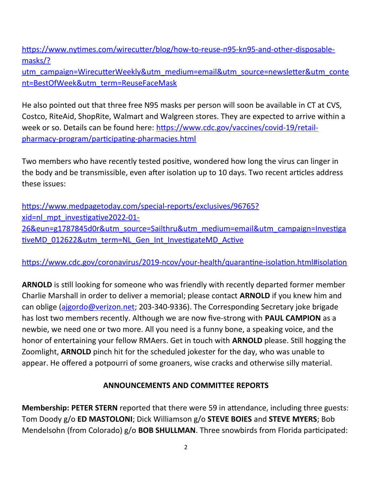[https://www.nytimes.com/wirecutter/blog/how-to-reuse-n95-kn95-and-other-disposable](https://www.nytimes.com/wirecutter/blog/how-to-reuse-n95-kn95-and-other-disposable-masks/?utm_campaign=WirecutterWeekly&utm_medium=email&utm_source=newsletter&utm_content=BestOfWeek&utm_term=ReuseFaceMask)masks/?

[utm\\_campaign=WirecutterWeekly&utm\\_medium=email&utm\\_source=newsletter&utm\\_conte](https://www.nytimes.com/wirecutter/blog/how-to-reuse-n95-kn95-and-other-disposable-masks/?utm_campaign=WirecutterWeekly&utm_medium=email&utm_source=newsletter&utm_content=BestOfWeek&utm_term=ReuseFaceMask) [nt=BestOfWeek&utm\\_term=ReuseFaceMask](https://www.nytimes.com/wirecutter/blog/how-to-reuse-n95-kn95-and-other-disposable-masks/?utm_campaign=WirecutterWeekly&utm_medium=email&utm_source=newsletter&utm_content=BestOfWeek&utm_term=ReuseFaceMask)

He also pointed out that three free N95 masks per person will soon be available in CT at CVS, Costco, RiteAid, ShopRite, Walmart and Walgreen stores. They are expected to arrive within a week or so. Details can be found here: [https://www.cdc.gov/vaccines/covid-19/retail](https://www.cdc.gov/vaccines/covid-19/retail-pharmacy-program/participating-pharmacies.html)[pharmacy-program/participating-pharmacies.html](https://www.cdc.gov/vaccines/covid-19/retail-pharmacy-program/participating-pharmacies.html)

Two members who have recently tested positive, wondered how long the virus can linger in the body and be transmissible, even after isolation up to 10 days. Two recent articles address these issues:

[https://www.medpagetoday.com/special-reports/exclusives/96765?](https://www.medpagetoday.com/special-reports/exclusives/96765?xid=nl_mpt_investigative2022-01-26&eun=g1787845d0r&utm_source=Sailthru&utm_medium=email&utm_campaign=InvestigativeMD_012622&utm_term=NL_Gen_Int_InvestigateMD_Active) xid=nl\_mpt\_investigative2022-01- [26&eun=g1787845d0r&utm\\_source=Sailthru&utm\\_medium=email&utm\\_campaign=Investiga](https://www.medpagetoday.com/special-reports/exclusives/96765?xid=nl_mpt_investigative2022-01-26&eun=g1787845d0r&utm_source=Sailthru&utm_medium=email&utm_campaign=InvestigativeMD_012622&utm_term=NL_Gen_Int_InvestigateMD_Active) [tiveMD\\_012622&utm\\_term=NL\\_Gen\\_Int\\_InvestigateMD\\_Active](https://www.medpagetoday.com/special-reports/exclusives/96765?xid=nl_mpt_investigative2022-01-26&eun=g1787845d0r&utm_source=Sailthru&utm_medium=email&utm_campaign=InvestigativeMD_012622&utm_term=NL_Gen_Int_InvestigateMD_Active)

<https://www.cdc.gov/coronavirus/2019-ncov/your-health/quarantine-isolation.html#isolation>

**ARNOLD** is still looking for someone who was friendly with recently departed former member Charlie Marshall in order to deliver a memorial; please contact **ARNOLD** if you knew him and can oblige [\(ajgordo@verizon.net;](about:blank) 203-340-9336). The Corresponding Secretary joke brigade has lost two members recently. Although we are now five-strong with **PAUL CAMPION** as a newbie, we need one or two more. All you need is a funny bone, a speaking voice, and the honor of entertaining your fellow RMAers. Get in touch with **ARNOLD** please. Still hogging the Zoomlight, **ARNOLD** pinch hit for the scheduled jokester for the day, who was unable to appear. He offered a potpourri of some groaners, wise cracks and otherwise silly material.

# **ANNOUNCEMENTS AND COMMITTEE REPORTS**

**Membership: PETER STERN** reported that there were 59 in attendance, including three guests: Tom Doody g/o **ED MASTOLONI**; Dick Williamson g/o **STEVE BOIES** and **STEVE MYERS**; Bob Mendelsohn (from Colorado) g/o **BOB SHULLMAN**. Three snowbirds from Florida participated: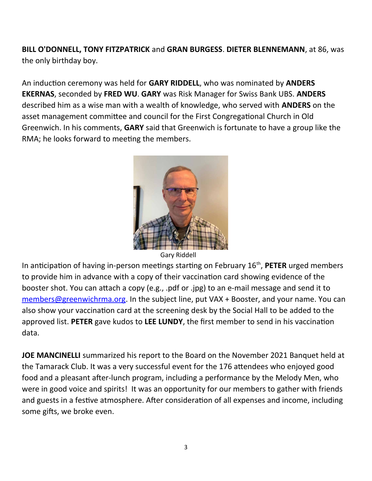**BILL O'DONNELL, TONY FITZPATRICK** and **GRAN BURGESS**. **DIETER BLENNEMANN**, at 86, was the only birthday boy.

An induction ceremony was held for **GARY RIDDELL**, who was nominated by **ANDERS EKERNAS**, seconded by **FRED WU**. **GARY** was Risk Manager for Swiss Bank UBS. **ANDERS** described him as a wise man with a wealth of knowledge, who served with **ANDERS** on the asset management committee and council for the First Congregational Church in Old Greenwich. In his comments, **GARY** said that Greenwich is fortunate to have a group like the RMA; he looks forward to meeting the members.



Gary Riddell

In anticipation of having in-person meetings starting on February 16<sup>th</sup>, PETER urged members to provide him in advance with a copy of their vaccination card showing evidence of the booster shot. You can attach a copy (e.g., .pdf or .jpg) to an e-mail message and send it to [members@greenwichrma.org](about:blank). In the subject line, put VAX + Booster, and your name. You can also show your vaccination card at the screening desk by the Social Hall to be added to the approved list. **PETER** gave kudos to **LEE LUNDY**, the first member to send in his vaccination data.

**JOE MANCINELLI** summarized his report to the Board on the November 2021 Banquet held at the Tamarack Club. It was a very successful event for the 176 attendees who enjoyed good food and a pleasant after-lunch program, including a performance by the Melody Men, who were in good voice and spirits! It was an opportunity for our members to gather with friends and guests in a festive atmosphere. After consideration of all expenses and income, including some gifts, we broke even.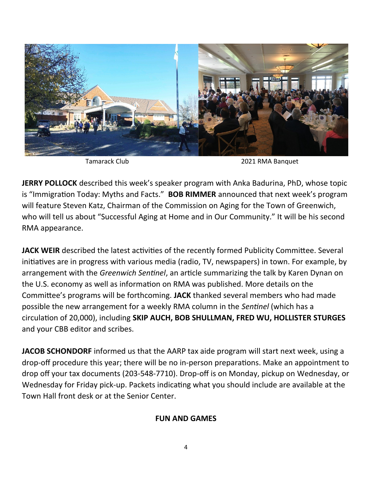

Tamarack Club 2021 RMA Banquet

**JERRY POLLOCK** described this week's speaker program with Anka Badurina, PhD, whose topic is "Immigration Today: Myths and Facts." **BOB RIMMER** announced that next week's program will feature Steven Katz, Chairman of the Commission on Aging for the Town of Greenwich, who will tell us about "Successful Aging at Home and in Our Community." It will be his second RMA appearance.

**JACK WEIR** described the latest activities of the recently formed Publicity Committee. Several initiatives are in progress with various media (radio, TV, newspapers) in town. For example, by arrangement with the *Greenwich Sentinel*, an article summarizing the talk by Karen Dynan on the U.S. economy as well as information on RMA was published. More details on the Committee's programs will be forthcoming. **JACK** thanked several members who had made possible the new arrangement for a weekly RMA column in the *Sentinel* (which has a circulation of 20,000), including **SKIP AUCH, BOB SHULLMAN, FRED WU, HOLLISTER STURGES** and your CBB editor and scribes.

**JACOB SCHONDORF** informed us that the AARP tax aide program will start next week, using a drop-off procedure this year; there will be no in-person preparations. Make an appointment to drop off your tax documents (203-548-7710). Drop-off is on Monday, pickup on Wednesday, or Wednesday for Friday pick-up. Packets indicating what you should include are available at the Town Hall front desk or at the Senior Center.

#### **FUN AND GAMES**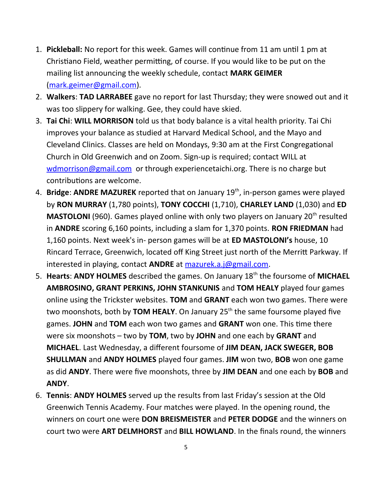- 1. **Pickleball:** No report for this week. Games will continue from 11 am until 1 pm at Christiano Field, weather permitting, of course. If you would like to be put on the mailing list announcing the weekly schedule, contact **MARK GEIMER** ([mark.geimer@gmail.com\)](mailto:mark.geimer@gmail.com).
- 2. **Walkers**: **TAD LARRABEE** gave no report for last Thursday; they were snowed out and it was too slippery for walking. Gee, they could have skied.
- 3. **Tai Chi**: **WILL MORRISON** told us that body balance is a vital health priority. Tai Chi improves your balance as studied at Harvard Medical School, and the Mayo and Cleveland Clinics. Classes are held on Mondays, 9:30 am at the First Congregational Church in Old Greenwich and on Zoom. Sign-up is required; contact WILL at [wdmorrison@gmail.com](mailto:wdmorrison@gmail.com) or through experiencetaichi.org. There is no charge but contributions are welcome.
- 4. **Bridge**: **ANDRE MAZUREK** reported that on January 19th, in-person games were played by **RON MURRAY** (1,780 points), **TONY COCCHI** (1,710), **CHARLEY LAND** (1,030) and **ED MASTOLONI** (960). Games played online with only two players on January 20<sup>th</sup> resulted in **ANDRE** scoring 6,160 points, including a slam for 1,370 points. **RON FRIEDMAN** had 1,160 points. Next week's in- person games will be at **ED MASTOLONI's** house, 10 Rincard Terrace, Greenwich, located off King Street just north of the Merritt Parkway. If interested in playing, contact **ANDRE** at [mazurek.a.j@gmail.com](mailto:mazurek.a.j@gmail.com).
- 5. **Hearts**: **ANDY HOLMES** described the games. On January 18th the foursome of **MICHAEL AMBROSINO, GRANT PERKINS, JOHN STANKUNIS** and **TOM HEALY** played four games online using the Trickster websites. **TOM** and **GRANT** each won two games. There were two moonshots, both by **TOM HEALY**. On January 25<sup>th</sup> the same foursome played five games. **JOHN** and **TOM** each won two games and **GRANT** won one. This time there were six moonshots – two by **TOM**, two by **JOHN** and one each by **GRANT** and **MICHAEL**. Last Wednesday, a different foursome of **JIM DEAN, JACK SWEGER, BOB SHULLMAN** and **ANDY HOLMES** played four games. **JIM** won two, **BOB** won one game as did **ANDY**. There were five moonshots, three by **JIM DEAN** and one each by **BOB** and **ANDY**.
- 6. **Tennis**: **ANDY HOLMES** served up the results from last Friday's session at the Old Greenwich Tennis Academy. Four matches were played. In the opening round, the winners on court one were **DON BREISMEISTER** and **PETER DODGE** and the winners on court two were **ART DELMHORST** and **BILL HOWLAND**. In the finals round, the winners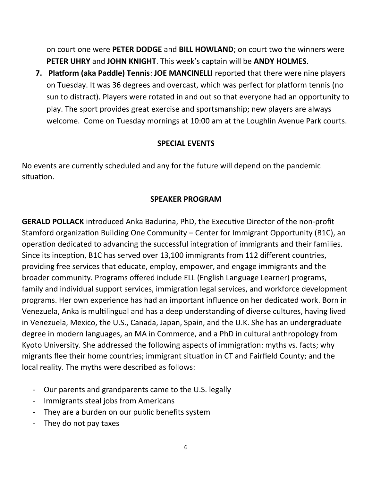on court one were **PETER DODGE** and **BILL HOWLAND**; on court two the winners were **PETER UHRY** and **JOHN KNIGHT**. This week's captain will be **ANDY HOLMES**.

**7. Platform (aka Paddle) Tennis**: **JOE MANCINELLI** reported that there were nine players on Tuesday. It was 36 degrees and overcast, which was perfect for platform tennis (no sun to distract). Players were rotated in and out so that everyone had an opportunity to play. The sport provides great exercise and sportsmanship; new players are always welcome. Come on Tuesday mornings at 10:00 am at the Loughlin Avenue Park courts.

#### **SPECIAL EVENTS**

No events are currently scheduled and any for the future will depend on the pandemic situation.

#### **SPEAKER PROGRAM**

**GERALD POLLACK** introduced Anka Badurina, PhD, the Executive Director of the non-profit Stamford organization Building One Community – Center for Immigrant Opportunity (B1C), an operation dedicated to advancing the successful integration of immigrants and their families. Since its inception, B1C has served over 13,100 immigrants from 112 different countries, providing free services that educate, employ, empower, and engage immigrants and the broader community. Programs offered include ELL (English Language Learner) programs, family and individual support services, immigration legal services, and workforce development programs. Her own experience has had an important influence on her dedicated work. Born in Venezuela, Anka is multilingual and has a deep understanding of diverse cultures, having lived in Venezuela, Mexico, the U.S., Canada, Japan, Spain, and the U.K. She has an undergraduate degree in modern languages, an MA in Commerce, and a PhD in cultural anthropology from Kyoto University. She addressed the following aspects of immigration: myths vs. facts; why migrants flee their home countries; immigrant situation in CT and Fairfield County; and the local reality. The myths were described as follows:

- Our parents and grandparents came to the U.S. legally
- Immigrants steal jobs from Americans
- They are a burden on our public benefits system
- They do not pay taxes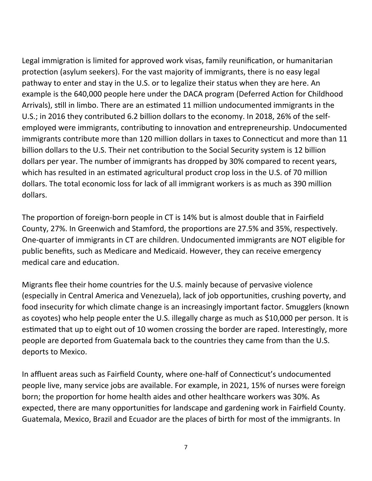Legal immigration is limited for approved work visas, family reunification, or humanitarian protection (asylum seekers). For the vast majority of immigrants, there is no easy legal pathway to enter and stay in the U.S. or to legalize their status when they are here. An example is the 640,000 people here under the DACA program (Deferred Action for Childhood Arrivals), still in limbo. There are an estimated 11 million undocumented immigrants in the U.S.; in 2016 they contributed 6.2 billion dollars to the economy. In 2018, 26% of the selfemployed were immigrants, contributing to innovation and entrepreneurship. Undocumented immigrants contribute more than 120 million dollars in taxes to Connecticut and more than 11 billion dollars to the U.S. Their net contribution to the Social Security system is 12 billion dollars per year. The number of immigrants has dropped by 30% compared to recent years, which has resulted in an estimated agricultural product crop loss in the U.S. of 70 million dollars. The total economic loss for lack of all immigrant workers is as much as 390 million dollars.

The proportion of foreign-born people in CT is 14% but is almost double that in Fairfield County, 27%. In Greenwich and Stamford, the proportions are 27.5% and 35%, respectively. One-quarter of immigrants in CT are children. Undocumented immigrants are NOT eligible for public benefits, such as Medicare and Medicaid. However, they can receive emergency medical care and education.

Migrants flee their home countries for the U.S. mainly because of pervasive violence (especially in Central America and Venezuela), lack of job opportunities, crushing poverty, and food insecurity for which climate change is an increasingly important factor. Smugglers (known as coyotes) who help people enter the U.S. illegally charge as much as \$10,000 per person. It is estimated that up to eight out of 10 women crossing the border are raped. Interestingly, more people are deported from Guatemala back to the countries they came from than the U.S. deports to Mexico.

In affluent areas such as Fairfield County, where one-half of Connecticut's undocumented people live, many service jobs are available. For example, in 2021, 15% of nurses were foreign born; the proportion for home health aides and other healthcare workers was 30%. As expected, there are many opportunities for landscape and gardening work in Fairfield County. Guatemala, Mexico, Brazil and Ecuador are the places of birth for most of the immigrants. In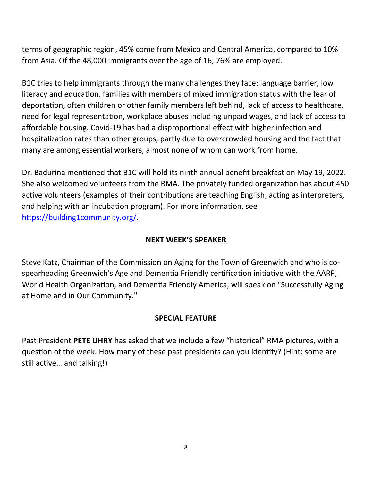terms of geographic region, 45% come from Mexico and Central America, compared to 10% from Asia. Of the 48,000 immigrants over the age of 16, 76% are employed.

B1C tries to help immigrants through the many challenges they face: language barrier, low literacy and education, families with members of mixed immigration status with the fear of deportation, often children or other family members left behind, lack of access to healthcare, need for legal representation, workplace abuses including unpaid wages, and lack of access to affordable housing. Covid-19 has had a disproportional effect with higher infection and hospitalization rates than other groups, partly due to overcrowded housing and the fact that many are among essential workers, almost none of whom can work from home.

Dr. Badurina mentioned that B1C will hold its ninth annual benefit breakfast on May 19, 2022. She also welcomed volunteers from the RMA. The privately funded organization has about 450 active volunteers (examples of their contributions are teaching English, acting as interpreters, and helping with an incubation program). For more information, see <https://building1community.org/>.

### **NEXT WEEK'S SPEAKER**

Steve Katz, Chairman of the Commission on Aging for the Town of Greenwich and who is cospearheading Greenwich's Age and Dementia Friendly certification initiative with the AARP, World Health Organization, and Dementia Friendly America, will speak on "Successfully Aging at Home and in Our Community."

#### **SPECIAL FEATURE**

Past President **PETE UHRY** has asked that we include a few "historical" RMA pictures, with a question of the week. How many of these past presidents can you identify? (Hint: some are still active… and talking!)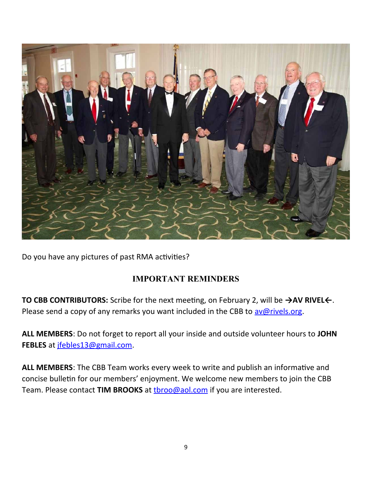

Do you have any pictures of past RMA activities?

# **IMPORTANT REMINDERS**

**TO CBB CONTRIBUTORS:** Scribe for the next meeting, on February 2, will be **→AV RIVEL←**. Please send a copy of any remarks you want included in the CBB to  $\frac{\text{av@rivels.org}}{\text{av@rivels.org}}$ .

**ALL MEMBERS**: Do not forget to report all your inside and outside volunteer hours to **JOHN FEBLES** at [jfebles13@gmail.com.](mailto:jfebles13@gmail.com)

**ALL MEMBERS**: The CBB Team works every week to write and publish an informative and concise bulletin for our members' enjoyment. We welcome new members to join the CBB Team. Please contact **TIM BROOKS** at **throo@aol.com** if you are interested.